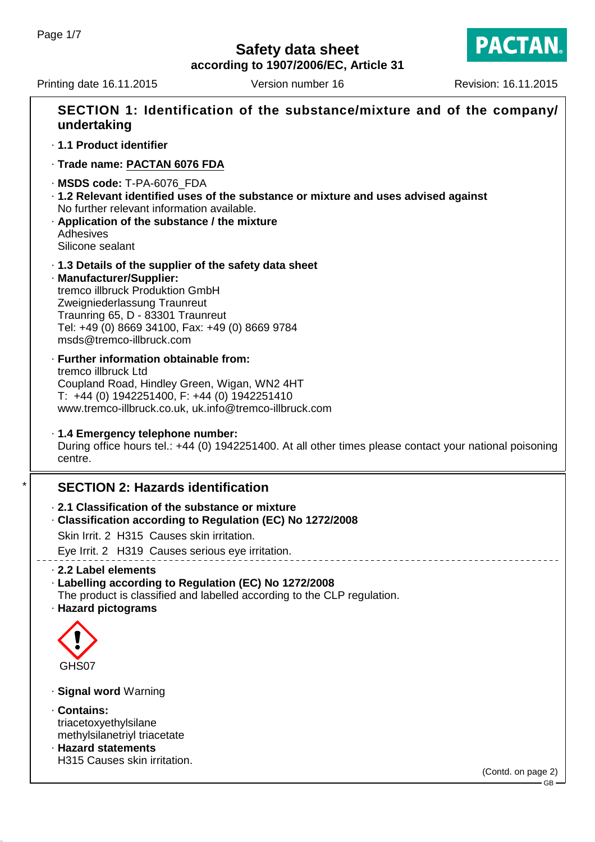**according to 1907/2006/EC, Article 31**

Printing date 16.11.2015 Version number 16 Revision: 16.11.2015

**PACTAN.** 

| SECTION 1: Identification of the substance/mixture and of the company/<br>undertaking                                                                                                                                                                                    |
|--------------------------------------------------------------------------------------------------------------------------------------------------------------------------------------------------------------------------------------------------------------------------|
| · 1.1 Product identifier                                                                                                                                                                                                                                                 |
| · Trade name: PACTAN 6076 FDA                                                                                                                                                                                                                                            |
| · MSDS code: T-PA-6076_FDA<br>· 1.2 Relevant identified uses of the substance or mixture and uses advised against<br>No further relevant information available.<br>. Application of the substance / the mixture<br>Adhesives<br>Silicone sealant                         |
| .1.3 Details of the supplier of the safety data sheet<br>· Manufacturer/Supplier:<br>tremco illbruck Produktion GmbH<br>Zweigniederlassung Traunreut<br>Traunring 65, D - 83301 Traunreut<br>Tel: +49 (0) 8669 34100, Fax: +49 (0) 8669 9784<br>msds@tremco-illbruck.com |
| · Further information obtainable from:<br>tremco illbruck Ltd<br>Coupland Road, Hindley Green, Wigan, WN2 4HT<br>T: +44 (0) 1942251400, F: +44 (0) 1942251410<br>www.tremco-illbruck.co.uk, uk.info@tremco-illbruck.com                                                  |
| · 1.4 Emergency telephone number:<br>During office hours tel.: +44 (0) 1942251400. At all other times please contact your national poisoning<br>centre.                                                                                                                  |
| <b>SECTION 2: Hazards identification</b>                                                                                                                                                                                                                                 |
| 2.1 Classification of the substance or mixture<br>Classification according to Regulation (EC) No 1272/2008<br>Skin Irrit. 2 H315 Causes skin irritation.                                                                                                                 |
| Eye Irrit. 2 H319 Causes serious eye irritation.                                                                                                                                                                                                                         |
| 2.2 Label elements<br>· Labelling according to Regulation (EC) No 1272/2008<br>The product is classified and labelled according to the CLP regulation.<br>· Hazard pictograms                                                                                            |
| GHS07                                                                                                                                                                                                                                                                    |
| · Signal word Warning                                                                                                                                                                                                                                                    |
| · Contains:<br>triacetoxyethylsilane<br>methylsilanetriyl triacetate<br>· Hazard statements                                                                                                                                                                              |
| H315 Causes skin irritation.<br>(Contd. on page 2)                                                                                                                                                                                                                       |
|                                                                                                                                                                                                                                                                          |

 $-$  GB -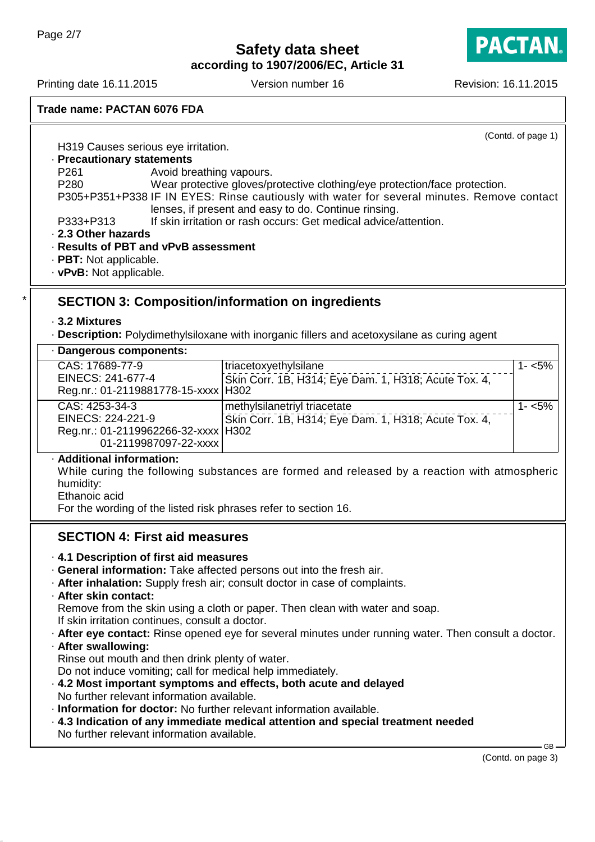**PACTAN** 

**according to 1907/2006/EC, Article 31**

Printing date 16.11.2015 Version number 16 Revision: 16.11.2015

| Trade name: PACTAN 6076 FDA |  |
|-----------------------------|--|
|                             |  |
|                             |  |

(Contd. of page 1)

H319 Causes serious eye irritation.

### · **Precautionary statements**

P261 **Avoid breathing vapours.** 

P280 Wear protective gloves/protective clothing/eye protection/face protection.

P305+P351+P338 IF IN EYES: Rinse cautiously with water for several minutes. Remove contact lenses, if present and easy to do. Continue rinsing.

P333+P313 If skin irritation or rash occurs: Get medical advice/attention.

#### · **2.3 Other hazards**

### · **Results of PBT and vPvB assessment**

- · **PBT:** Not applicable.
- · **vPvB:** Not applicable.

# **SECTION 3: Composition/information on ingredients**

#### · **3.2 Mixtures**

· **Description:** Polydimethylsiloxane with inorganic fillers and acetoxysilane as curing agent

### · **Dangerous components:**

| triacetoxyethylsilane                                | 1- <5%                                                                                                                                                          |
|------------------------------------------------------|-----------------------------------------------------------------------------------------------------------------------------------------------------------------|
| Skin Corr. 1B, H314; Eye Dam. 1, H318; Acute Tox. 4, |                                                                                                                                                                 |
|                                                      |                                                                                                                                                                 |
| methylsilanetriyl triacetate                         | $1 - 5%$                                                                                                                                                        |
|                                                      |                                                                                                                                                                 |
|                                                      |                                                                                                                                                                 |
|                                                      |                                                                                                                                                                 |
|                                                      | Reg.nr.: 01-2119881778-15-xxxx   H302<br>Skin Corr. 1B, H314; Eye Dam. 1, H318; Acute Tox. 4,<br>Reg.nr.: 01-2119962266-32-xxxx   H302<br>01-2119987097-22-xxxx |

### · **Additional information:**

While curing the following substances are formed and released by a reaction with atmospheric humidity:

Ethanoic acid

For the wording of the listed risk phrases refer to section 16.

# **SECTION 4: First aid measures**

- · **4.1 Description of first aid measures**
- · **General information:** Take affected persons out into the fresh air.
- · **After inhalation:** Supply fresh air; consult doctor in case of complaints.
- · **After skin contact:**

Remove from the skin using a cloth or paper. Then clean with water and soap. If skin irritation continues, consult a doctor.

- · **After eye contact:** Rinse opened eye for several minutes under running water. Then consult a doctor.
- · **After swallowing:**

Rinse out mouth and then drink plenty of water.

Do not induce vomiting; call for medical help immediately.

- · **4.2 Most important symptoms and effects, both acute and delayed** No further relevant information available.
- · **Information for doctor:** No further relevant information available.
- · **4.3 Indication of any immediate medical attention and special treatment needed** No further relevant information available.

GB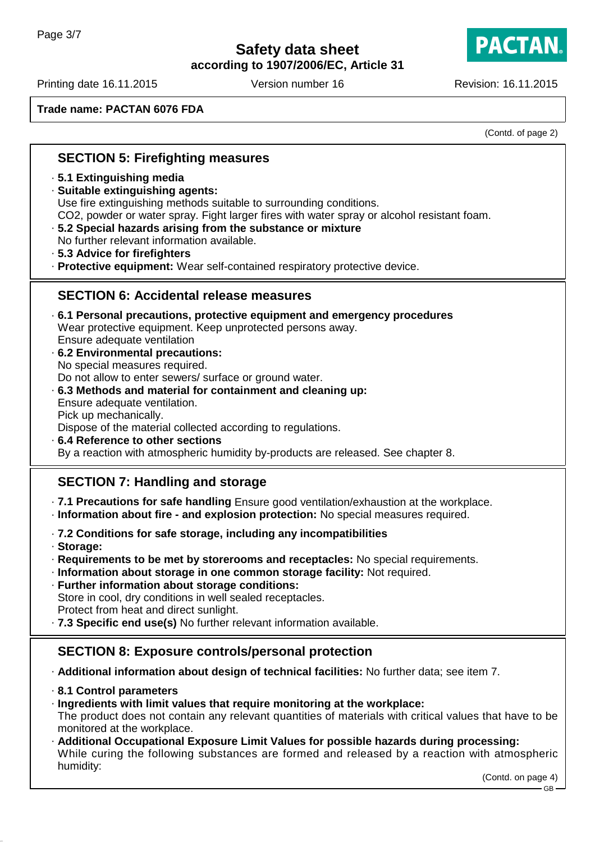**according to 1907/2006/EC, Article 31**

Printing date 16.11.2015 Version number 16 Revision: 16.11.2015

humidity:

**PACTAN.** 

**Trade name: PACTAN 6076 FDA**

(Contd. of page 2)

| <b>SECTION 5: Firefighting measures</b>                                                                                                                                                                                                                                                                                                                                                                                                                                                                                                                                                                           |
|-------------------------------------------------------------------------------------------------------------------------------------------------------------------------------------------------------------------------------------------------------------------------------------------------------------------------------------------------------------------------------------------------------------------------------------------------------------------------------------------------------------------------------------------------------------------------------------------------------------------|
| .5.1 Extinguishing media<br>· Suitable extinguishing agents:<br>Use fire extinguishing methods suitable to surrounding conditions.<br>CO2, powder or water spray. Fight larger fires with water spray or alcohol resistant foam.<br>.5.2 Special hazards arising from the substance or mixture<br>No further relevant information available.<br>· 5.3 Advice for firefighters<br>· Protective equipment: Wear self-contained respiratory protective device.                                                                                                                                                       |
| <b>SECTION 6: Accidental release measures</b>                                                                                                                                                                                                                                                                                                                                                                                                                                                                                                                                                                     |
| ⋅ 6.1 Personal precautions, protective equipment and emergency procedures<br>Wear protective equipment. Keep unprotected persons away.<br>Ensure adequate ventilation<br>.6.2 Environmental precautions:<br>No special measures required.<br>Do not allow to enter sewers/ surface or ground water.<br>.6.3 Methods and material for containment and cleaning up:<br>Ensure adequate ventilation.<br>Pick up mechanically.<br>Dispose of the material collected according to regulations.<br>.6.4 Reference to other sections<br>By a reaction with atmospheric humidity by-products are released. See chapter 8. |
| <b>SECTION 7: Handling and storage</b>                                                                                                                                                                                                                                                                                                                                                                                                                                                                                                                                                                            |
| .7.1 Precautions for safe handling Ensure good ventilation/exhaustion at the workplace.<br>· Information about fire - and explosion protection: No special measures required.                                                                                                                                                                                                                                                                                                                                                                                                                                     |
| · 7.2 Conditions for safe storage, including any incompatibilities<br>· Storage:<br>· Requirements to be met by storerooms and receptacles: No special requirements.<br>· Information about storage in one common storage facility: Not required.<br>· Further information about storage conditions:<br>Store in cool, dry conditions in well sealed receptacles.<br>Protect from heat and direct sunlight.<br>.7.3 Specific end use(s) No further relevant information available.                                                                                                                                |
| <b>SECTION 8: Exposure controls/personal protection</b>                                                                                                                                                                                                                                                                                                                                                                                                                                                                                                                                                           |
| - Additional information about design of technical facilities: No further data; see item 7.                                                                                                                                                                                                                                                                                                                                                                                                                                                                                                                       |
| 8.1 Control parameters<br>· Ingredients with limit values that require monitoring at the workplace:<br>The product does not contain any relevant quantities of materials with critical values that have to be<br>monitored at the workplace.<br>· Additional Occupational Exposure Limit Values for possible hazards during processing:<br>While curing the following substances are formed and released by a reaction with atmospheric                                                                                                                                                                           |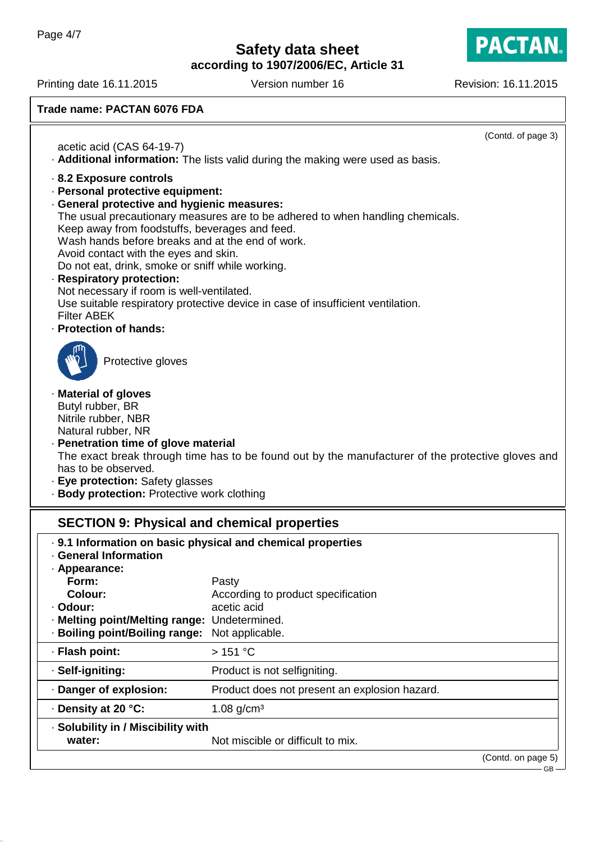**PACTAN.** 

**according to 1907/2006/EC, Article 31**

Printing date 16.11.2015 Version number 16 Revision: 16.11.2015

**Trade name: PACTAN 6076 FDA**

|                                                                                                                                                                                                                                                                                                                                                                                                                                                                                                                                                                                                                                               | (Contd. of page 3)                                                   |  |  |  |  |
|-----------------------------------------------------------------------------------------------------------------------------------------------------------------------------------------------------------------------------------------------------------------------------------------------------------------------------------------------------------------------------------------------------------------------------------------------------------------------------------------------------------------------------------------------------------------------------------------------------------------------------------------------|----------------------------------------------------------------------|--|--|--|--|
| acetic acid (CAS 64-19-7)                                                                                                                                                                                                                                                                                                                                                                                                                                                                                                                                                                                                                     |                                                                      |  |  |  |  |
| Additional information: The lists valid during the making were used as basis.<br>· 8.2 Exposure controls<br>· Personal protective equipment:<br>· General protective and hygienic measures:<br>The usual precautionary measures are to be adhered to when handling chemicals.<br>Keep away from foodstuffs, beverages and feed.<br>Wash hands before breaks and at the end of work.<br>Avoid contact with the eyes and skin.<br>Do not eat, drink, smoke or sniff while working.<br>· Respiratory protection:<br>Not necessary if room is well-ventilated.<br>Use suitable respiratory protective device in case of insufficient ventilation. |                                                                      |  |  |  |  |
| <b>Filter ABEK</b><br>· Protection of hands:                                                                                                                                                                                                                                                                                                                                                                                                                                                                                                                                                                                                  |                                                                      |  |  |  |  |
| Protective gloves                                                                                                                                                                                                                                                                                                                                                                                                                                                                                                                                                                                                                             |                                                                      |  |  |  |  |
| · Material of gloves<br>Butyl rubber, BR<br>Nitrile rubber, NBR<br>Natural rubber, NR<br>· Penetration time of glove material<br>The exact break through time has to be found out by the manufacturer of the protective gloves and<br>has to be observed.<br>· Eye protection: Safety glasses<br>· Body protection: Protective work clothing                                                                                                                                                                                                                                                                                                  |                                                                      |  |  |  |  |
| <b>SECTION 9: Physical and chemical properties</b>                                                                                                                                                                                                                                                                                                                                                                                                                                                                                                                                                                                            |                                                                      |  |  |  |  |
| · General Information<br>· Appearance:<br>Form:                                                                                                                                                                                                                                                                                                                                                                                                                                                                                                                                                                                               | . 9.1 Information on basic physical and chemical properties<br>Pasty |  |  |  |  |
| Colour:                                                                                                                                                                                                                                                                                                                                                                                                                                                                                                                                                                                                                                       | According to product specification                                   |  |  |  |  |
| · Odour:                                                                                                                                                                                                                                                                                                                                                                                                                                                                                                                                                                                                                                      | acetic acid                                                          |  |  |  |  |
| · Melting point/Melting range: Undetermined.<br>· Boiling point/Boiling range: Not applicable.                                                                                                                                                                                                                                                                                                                                                                                                                                                                                                                                                |                                                                      |  |  |  |  |
| · Flash point:                                                                                                                                                                                                                                                                                                                                                                                                                                                                                                                                                                                                                                | >151 °C                                                              |  |  |  |  |
| · Self-igniting:                                                                                                                                                                                                                                                                                                                                                                                                                                                                                                                                                                                                                              | Product is not selfigniting.                                         |  |  |  |  |
| · Danger of explosion:                                                                                                                                                                                                                                                                                                                                                                                                                                                                                                                                                                                                                        | Product does not present an explosion hazard.                        |  |  |  |  |
| · Density at 20 °C:                                                                                                                                                                                                                                                                                                                                                                                                                                                                                                                                                                                                                           | 1.08 $g/cm^{3}$                                                      |  |  |  |  |
| · Solubility in / Miscibility with<br>water:                                                                                                                                                                                                                                                                                                                                                                                                                                                                                                                                                                                                  | Not miscible or difficult to mix.                                    |  |  |  |  |
|                                                                                                                                                                                                                                                                                                                                                                                                                                                                                                                                                                                                                                               | (Contd. on page 5)<br>GB                                             |  |  |  |  |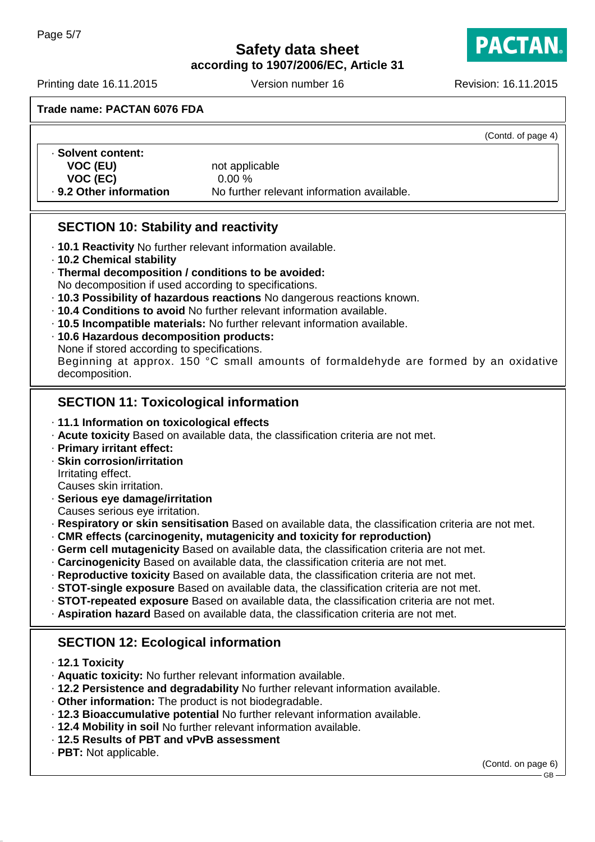**according to 1907/2006/EC, Article 31**

**PACTAN** 

Printing date 16.11.2015 Version number 16 Revision: 16.11.2015

**Trade name: PACTAN 6076 FDA**

(Contd. of page 4)

| · Solvent content:      |                                            |
|-------------------------|--------------------------------------------|
| VOC (EU)                | not applicable                             |
| VOC (EC)                | $0.00\%$                                   |
| . 9.2 Other information | No further relevant information available. |

# **SECTION 10: Stability and reactivity**

- · **10.1 Reactivity** No further relevant information available.
- · **10.2 Chemical stability**
- · **Thermal decomposition / conditions to be avoided:**

No decomposition if used according to specifications.

- · **10.3 Possibility of hazardous reactions** No dangerous reactions known.
- · **10.4 Conditions to avoid** No further relevant information available.
- · **10.5 Incompatible materials:** No further relevant information available.
- · **10.6 Hazardous decomposition products:**
- None if stored according to specifications.

Beginning at approx. 150 °C small amounts of formaldehyde are formed by an oxidative decomposition.

# **SECTION 11: Toxicological information**

- · **11.1 Information on toxicological effects**
- · **Acute toxicity** Based on available data, the classification criteria are not met.
- · **Primary irritant effect:**
- · **Skin corrosion/irritation** Irritating effect.

Causes skin irritation.

· **Serious eye damage/irritation**

Causes serious eye irritation.

- · **Respiratory or skin sensitisation** Based on available data, the classification criteria are not met.
- · **CMR effects (carcinogenity, mutagenicity and toxicity for reproduction)**
- · **Germ cell mutagenicity** Based on available data, the classification criteria are not met.
- · **Carcinogenicity** Based on available data, the classification criteria are not met.
- · **Reproductive toxicity** Based on available data, the classification criteria are not met.
- · **STOT-single exposure** Based on available data, the classification criteria are not met.
- · **STOT-repeated exposure** Based on available data, the classification criteria are not met.
- · **Aspiration hazard** Based on available data, the classification criteria are not met.

# **SECTION 12: Ecological information**

- · **12.1 Toxicity**
- · **Aquatic toxicity:** No further relevant information available.
- · **12.2 Persistence and degradability** No further relevant information available.
- · **Other information:** The product is not biodegradable.
- · **12.3 Bioaccumulative potential** No further relevant information available.
- · **12.4 Mobility in soil** No further relevant information available.
- · **12.5 Results of PBT and vPvB assessment**
- · **PBT:** Not applicable.

(Contd. on page 6)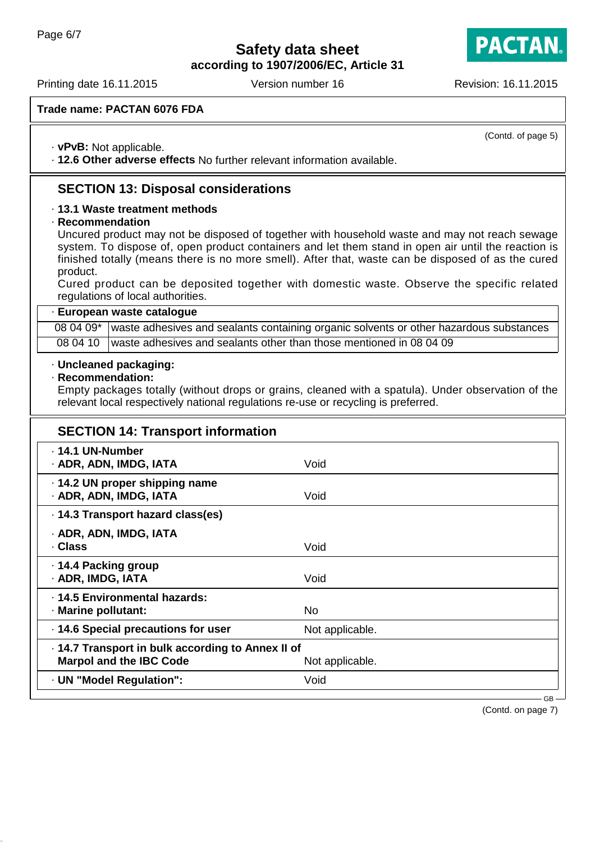**according to 1907/2006/EC, Article 31**

Printing date 16.11.2015 Version number 16 Revision: 16.11.2015

**PACTAN** 

(Contd. of page 5)

**Trade name: PACTAN 6076 FDA**

· **vPvB:** Not applicable.

· **12.6 Other adverse effects** No further relevant information available.

# **SECTION 13: Disposal considerations**

### · **13.1 Waste treatment methods**

· **Recommendation**

Uncured product may not be disposed of together with household waste and may not reach sewage system. To dispose of, open product containers and let them stand in open air until the reaction is finished totally (means there is no more smell). After that, waste can be disposed of as the cured product.

Cured product can be deposited together with domestic waste. Observe the specific related regulations of local authorities.

#### · **European waste catalogue**

08 04 09\* waste adhesives and sealants containing organic solvents or other hazardous substances 08 04 10 waste adhesives and sealants other than those mentioned in 08 04 09

#### · **Uncleaned packaging:**

#### · **Recommendation:**

Empty packages totally (without drops or grains, cleaned with a spatula). Under observation of the relevant local respectively national regulations re-use or recycling is preferred.

| <b>SECTION 14: Transport information</b>                                            |                 |
|-------------------------------------------------------------------------------------|-----------------|
| ⋅ 14.1 UN-Number<br>· ADR, ADN, IMDG, IATA                                          | Void            |
| ⋅ 14.2 UN proper shipping name<br>· ADR, ADN, IMDG, IATA                            | Void            |
| ⋅ 14.3 Transport hazard class(es)                                                   |                 |
| · ADR, ADN, IMDG, IATA<br>· Class                                                   | Void            |
| ⋅ 14.4 Packing group<br>· ADR, IMDG, IATA                                           | Void            |
| · 14.5 Environmental hazards:<br>· Marine pollutant:                                | <b>No</b>       |
| · 14.6 Special precautions for user                                                 | Not applicable. |
| . 14.7 Transport in bulk according to Annex II of<br><b>Marpol and the IBC Code</b> | Not applicable. |
| · UN "Model Regulation":                                                            | Void            |

(Contd. on page 7)